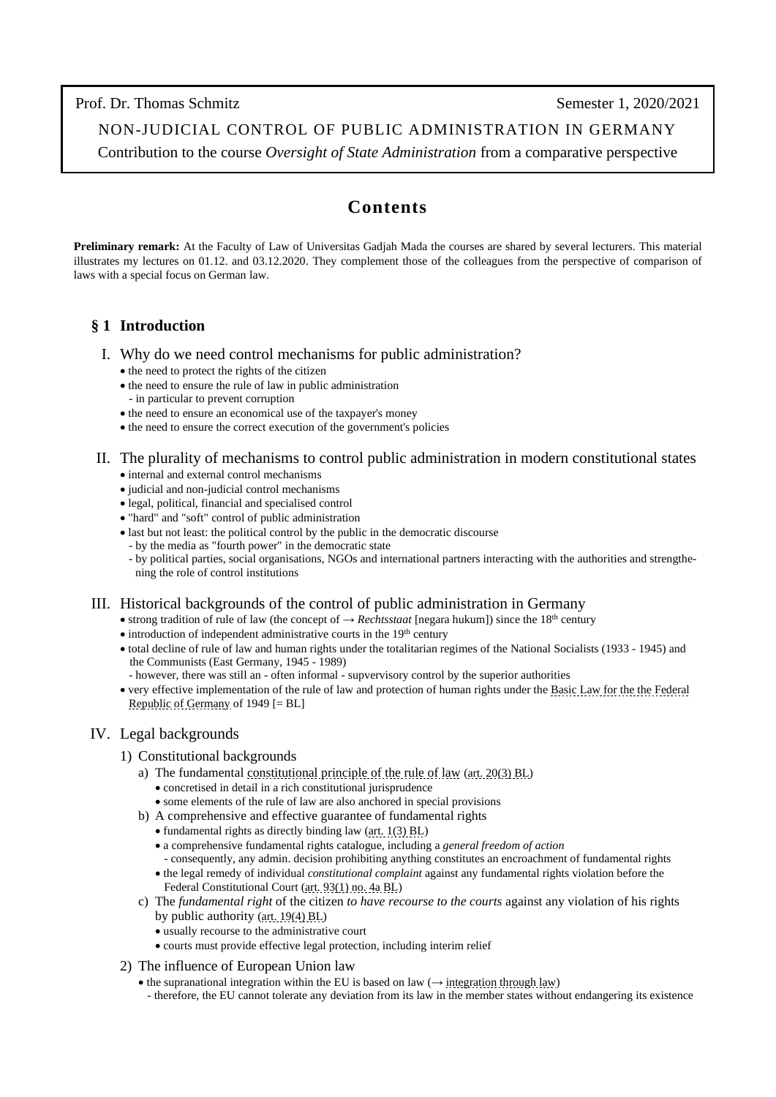Prof. Dr. Thomas Schmitz Semester 1, 2020/2021

NON-JUDICIAL CONTROL OF PUBLIC ADMINISTRATION IN GERMANY

Contribution to the course *Oversight of State Administration* from a comparative perspective

# **Contents**

**Preliminary remark:** At the Faculty of Law of Universitas Gadjah Mada the courses are shared by several lecturers. This material illustrates my lectures on 01.12. and 03.12.2020. They complement those of the colleagues from the perspective of comparison of laws with a special focus on German law.

# **§ 1 Introduction**

- I. Why do we need control mechanisms for public administration?
	- the need to protect the rights of the citizen
	- the need to ensure the rule of law in public administration - in particular to prevent corruption
	- the need to ensure an economical use of the taxpayer's money
	- the need to ensure the correct execution of the government's policies
- II. The plurality of mechanisms to control public administration in modern constitutional states • internal and external control mechanisms
	- judicial and non-judicial control mechanisms
	- legal, political, financial and specialised control
	- "hard" and "soft" control of public administration
	- last but not least: the political control by the public in the democratic discourse
		- by the media as "fourth power" in the democratic state
		- by political parties, social organisations, NGOs and international partners interacting with the authorities and strengthe ning the role of control institutions

# III. Historical backgrounds of the control of public administration in Germany

- strong tradition of rule of law (the concept of → *Rechtsstaat* [negara hukum]) since the 18th century
- $\bullet$  introduction of independent administrative courts in the 19<sup>th</sup> century
- total decline of rule of law and human rights under the totalitarian regimes of the National Socialists (1933 1945) and the Communists (East Germany, 1945 - 1989)
	- however, there was still an often informal supvervisory control by the superior authorities
- very effective implementation of the rule of law and protection of human rights under th[e Basic Law for the the Federal](https://www.gesetze-im-internet.de/englisch_gg/index.html)   [Republic of Germany](https://www.gesetze-im-internet.de/englisch_gg/index.html) of 1949 [= BL]

# IV. Legal backgrounds

#### 1) Constitutional backgrounds

- a) The fundamenta[l constitutional principle of the rule of law](http://www.thomas-schmitz-yogyakarta.id/Downloads/Schmitz_rule-of-law-Germany_Studium-Generale.pdf) [\(art. 20\(3\) BL\)](https://www.gesetze-im-internet.de/englisch_gg/englisch_gg.html#p0114) • concretised in detail in a rich constitutional jurisprudence
	- some elements of the rule of law are also anchored in special provisions
- b) A comprehensive and effective guarantee of fundamental rights
	- fundamental rights as directly binding law [\(art. 1\(3\) BL\)](https://www.gesetze-im-internet.de/englisch_gg/englisch_gg.html#p0022)
	- a comprehensive fundamental rights catalogue, including a *general freedom of action*
	- consequently, any admin. decision prohibiting anything constitutes an encroachment of fundamental rights • the legal remedy of individual *constitutional complaint* against any fundamental rights violation before the Federal Constitutional Court [\(art. 93\(1\) no. 4a BL\)](https://www.gesetze-im-internet.de/englisch_gg/englisch_gg.html#p0521)
- c) The *fundamental right* of the citizen *to have recourse to the courts* against any violation of his rights by public authority [\(art. 19\(4\) BL\)](https://www.gesetze-im-internet.de/englisch_gg/englisch_gg.html#p0108)
	- usually recourse to the administrative court
	- courts must provide effective legal protection, including interim relief

#### 2) The influence of European Union law

- the supranational integration within the EU is based on law  $(\rightarrow$  [integration through law\)](http://www.thomas-schmitz-yogyakarta.id/Downloads/Schmitz_Integration-through-law_ICONAS2019.pdf)
- therefore, the EU cannot tolerate any deviation from its law in the member states without endangering its existence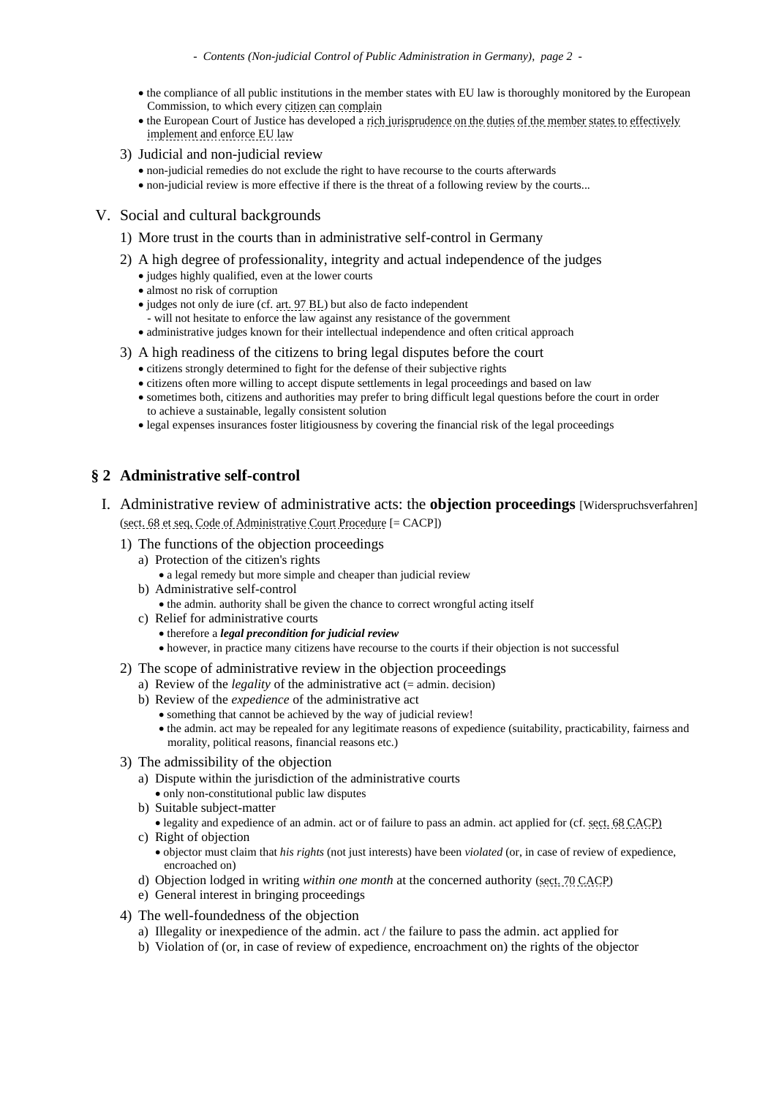- the compliance of all public institutions in the member states with EU law is thoroughly monitored by the European Commission, to which every [citizen can complain](https://ec.europa.eu/info/about-european-commission/contact/problems-and-complaints/complaints-about-breaches-eu-law/how-make-complaint-eu-level_en)
- the European Court of Justice has developed [a rich jurisprudence on the duties of the member states to effectively](http://www.iuspublicum-thomas-schmitz.uni-goettingen.de/Lehre/Jurisprudence-on-integration-1.htm)   [implement and enforce EU law](http://www.iuspublicum-thomas-schmitz.uni-goettingen.de/Lehre/Jurisprudence-on-integration-1.htm)
- 3) Judicial and non-judicial review
	- non-judicial remedies do not exclude the right to have recourse to the courts afterwards
	- non-judicial review is more effective if there is the threat of a following review by the courts...
- V. Social and cultural backgrounds
	- 1) More trust in the courts than in administrative self-control in Germany
	- 2) A high degree of professionality, integrity and actual independence of the judges
		- judges highly qualified, even at the lower courts
		- almost no risk of corruption
		- judges not only de iure (cf. [art. 97 BL\)](https://www.gesetze-im-internet.de/englisch_gg/englisch_gg.html#p0552) but also de facto independent
		- will not hesitate to enforce the law against any resistance of the government
		- administrative judges known for their intellectual independence and often critical approach
	- 3) A high readiness of the citizens to bring legal disputes before the court
		- citizens strongly determined to fight for the defense of their subjective rights
		- citizens often more willing to accept dispute settlements in legal proceedings and based on law
		- sometimes both, citizens and authorities may prefer to bring difficult legal questions before the court in order to achieve a sustainable, legally consistent solution
		- legal expenses insurances foster litigiousness by covering the financial risk of the legal proceedings

# **§ 2 Administrative self-control**

- I. Administrative review of administrative acts: the **objection proceedings** [Widerspruchsverfahren] [\(sect. 68 et seq, Code of Administrative Court Procedure](http://www.gesetze-im-internet.de/englisch_vwgo/englisch_vwgo.html#p0349) [= CACP])
	- 1) The functions of the objection proceedings
		- a) Protection of the citizen's rights
			- a legal remedy but more simple and cheaper than judicial review
		- b) Administrative self-control
			- the admin. authority shall be given the chance to correct wrongful acting itself
		- c) Relief for administrative courts
			- therefore a *legal precondition for judicial review*
			- however, in practice many citizens have recourse to the courts if their objection is not successful
	- 2) The scope of administrative review in the objection proceedings
		- a) Review of the *legality* of the administrative act  $(=$  admin. decision)
		- b) Review of the *expedience* of the administrative act
			- something that cannot be achieved by the way of judicial review!
			- the admin. act may be repealed for any legitimate reasons of expedience (suitability, practicability, fairness and morality, political reasons, financial reasons etc.)
	- 3) The admissibility of the objection
		- a) Dispute within the jurisdiction of the administrative courts
			- only non-constitutional public law disputes
		- b) Suitable subject-matter
		- legality and expedience of an admin. act or of failure to pass an admin. act applied for (cf. sect. 68 [CACP\)](http://www.gesetze-im-internet.de/englisch_vwgo/englisch_vwgo.html#p0350)
		- c) Right of objection
			- objector must claim that *his rights* (not just interests) have been *violated* (or, in case of review of expedience, encroached on)
		- d) Objection lodged in writing *within one month* at the concerned authority [\(sect. 70 CACP\)](http://www.gesetze-im-internet.de/englisch_vwgo/englisch_vwgo.html#p0357)
		- e) General interest in bringing proceedings
	- 4) The well-foundedness of the objection
		- a) Illegality or inexpedience of the admin. act / the failure to pass the admin. act applied for
		- b) Violation of (or, in case of review of expedience, encroachment on) the rights of the objector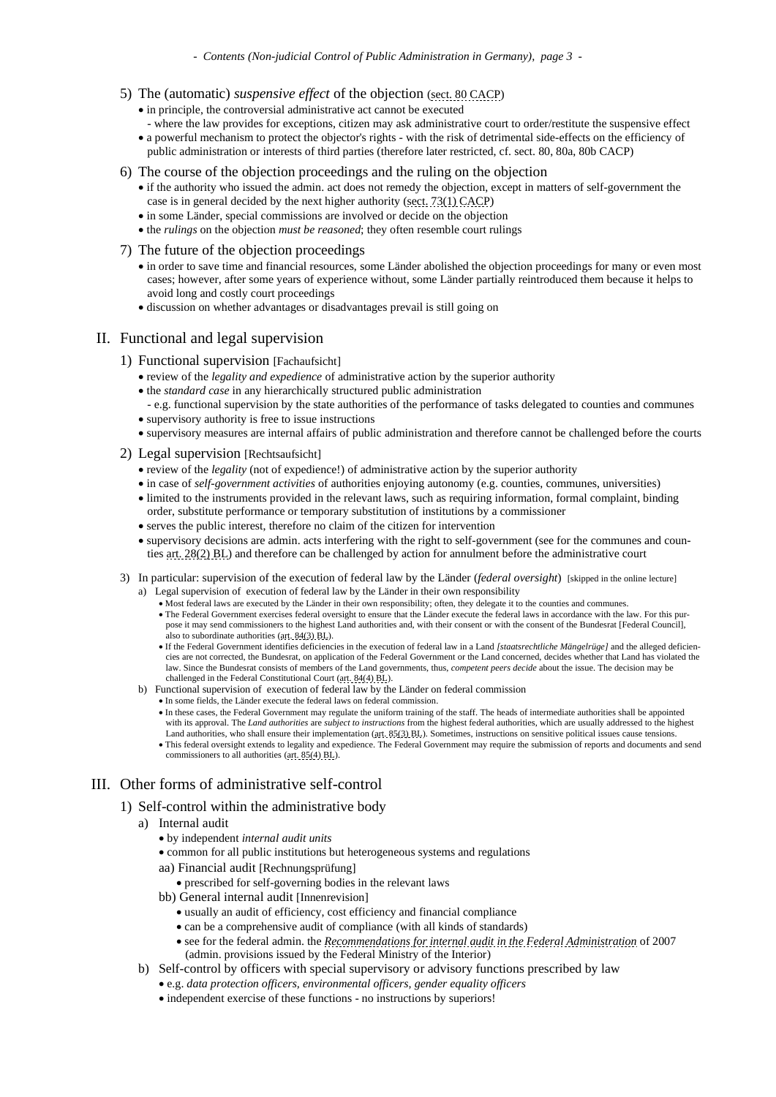- 5) The (automatic) *suspensive effect* of the objection [\(sect. 80](http://www.gesetze-im-internet.de/englisch_vwgo/englisch_vwgo.html#p0392) CACP)
	- in principle, the controversial administrative act cannot be executed
	- where the law provides for exceptions, citizen may ask administrative court to order/restitute the suspensive effect • a powerful mechanism to protect the objector's rights - with the risk of detrimental side-effects on the efficiency of public administration or interests of third parties (therefore later restricted, cf. sect. 80, 80a, 80b CACP)
- 6) The course of the objection proceedings and the ruling on the objection
	- if the authority who issued the admin. act does not remedy the objection, except in matters of self-government the case is in general decided by the next higher authority [\(sect. 73\(1\)](http://www.gesetze-im-internet.de/englisch_vwgo/englisch_vwgo.html#p0364) CACP)
	- in some Länder, special commissions are involved or decide on the objection
	- the *rulings* on the objection *must be reasoned*; they often resemble court rulings
- 7) The future of the objection proceedings
	- in order to save time and financial resources, some Länder abolished the objection proceedings for many or even most cases; however, after some years of experience without, some Länder partially reintroduced them because it helps to avoid long and costly court proceedings
	- discussion on whether advantages or disadvantages prevail is still going on

#### II. Functional and legal supervision

- 1) Functional supervision [Fachaufsicht]
	- review of the *legality and expedience* of administrative action by the superior authority
	- the *standard case* in any hierarchically structured public administration
	- e.g. functional supervision by the state authorities of the performance of tasks delegated to counties and communes • supervisory authority is free to issue instructions
	- supervisory measures are internal affairs of public administration and therefore cannot be challenged before the courts
- 2) Legal supervision [Rechtsaufsicht]
	- review of the *legality* (not of expedience!) of administrative action by the superior authority
	- in case of *self-government activities* of authorities enjoying autonomy (e.g. counties, communes, universities)
	- limited to the instruments provided in the relevant laws, such as requiring information, formal complaint, binding order, substitute performance or temporary substitution of institutions by a commissioner
	- serves the public interest, therefore no claim of the citizen for intervention
	- supervisory decisions are admin. acts interfering with the right to self-government (see for the communes and coun ties [art. 28\(2\) BL\)](https://www.gesetze-im-internet.de/englisch_gg/englisch_gg.html#p0149) and therefore can be challenged by action for annulment before the administrative court
- 3) In particular: supervision of the execution of federal law by the Länder (*federal oversight*) [skipped in the online lecture] a) Legal supervision of execution of federal law by the Länder in their own responsibility
	- Most federal laws are executed by the Länder in their own responsibility; often, they delegate it to the counties and communes. • The Federal Government exercises federal oversight to ensure that the Länder execute the federal laws in accordance with the law. For this pur pose it may send commissioners to the highest Land authorities and, with their consent or with the consent of the Bundesrat [Federal Council], also to subordinate authorities [\(art. 84\(3\)](https://www.gesetze-im-internet.de/englisch_gg/englisch_gg.html#p0441) BL).
	- If the Federal Government identifies deficiencies in the execution of federal law in a Land *[staatsrechtliche Mängelrüge]* and the alleged deficien cies are not corrected, the Bundesrat, on application of the Federal Government or the Land concerned, decides whether that Land has violated the law. Since the Bundesrat consists of members of the Land governments, thus, *competent peers decide* about the issue. The decision may be challenged in the Federal Constitutional Court [\(art. 84\(4\) BL\).](https://www.gesetze-im-internet.de/englisch_gg/englisch_gg.html#p0441)
	- b) Functional supervision of execution of federal law by the Länder on federal commission
		- In some fields, the Länder execute the federal laws on federal commission.
			- In these cases, the Federal Government may regulate the uniform training of the staff. The heads of intermediate authorities shall be appointed with its approval. The *Land authorities* are *subject to instructions* from the highest federal authorities, which are usually addressed to the highest Land authorities, who shall ensure their implementation [\(art. 85\(3\) BL\).](https://www.gesetze-im-internet.de/englisch_gg/englisch_gg.html#p0447) Sometimes, instructions on sensitive political issues cause tensions.
			- This federal oversight extends to legality and expedience. The Federal Government may require the submission of reports and documents and send commissioners to all authorities [\(art. 85\(4\) BL\)](https://www.gesetze-im-internet.de/englisch_gg/englisch_gg.html#p0447).

# III. Other forms of administrative self-control

- 1) Self-control within the administrative body
	- a) Internal audit
		- by independent *internal audit units*
		- common for all public institutions but heterogeneous systems and regulations
		- aa) Financial audit [Rechnungsprüfung]
			- prescribed for self-governing bodies in the relevant laws
		- bb) General internal audit [Innenrevision]
			- usually an audit of efficiency, cost efficiency and financial compliance
			- can be a comprehensive audit of compliance (with all kinds of standards)
			- see for the federal admin. the *[Recommendations for internal audit in the Federal Administration](https://www.bmi.bund.de/SharedDocs/downloads/DE/veroeffentlichungen/themen/moderne-verwaltung/interne-revision-empfehlungen.pdf?__blob=publicationFile&v=2)* of 2007 (admin. provisions issued by the Federal Ministry of the Interior)
	- b) Self-control by officers with special supervisory or advisory functions prescribed by law
		- e.g. *data protection officers, environmental officers, gender equality officers*
		- independent exercise of these functions no instructions by superiors!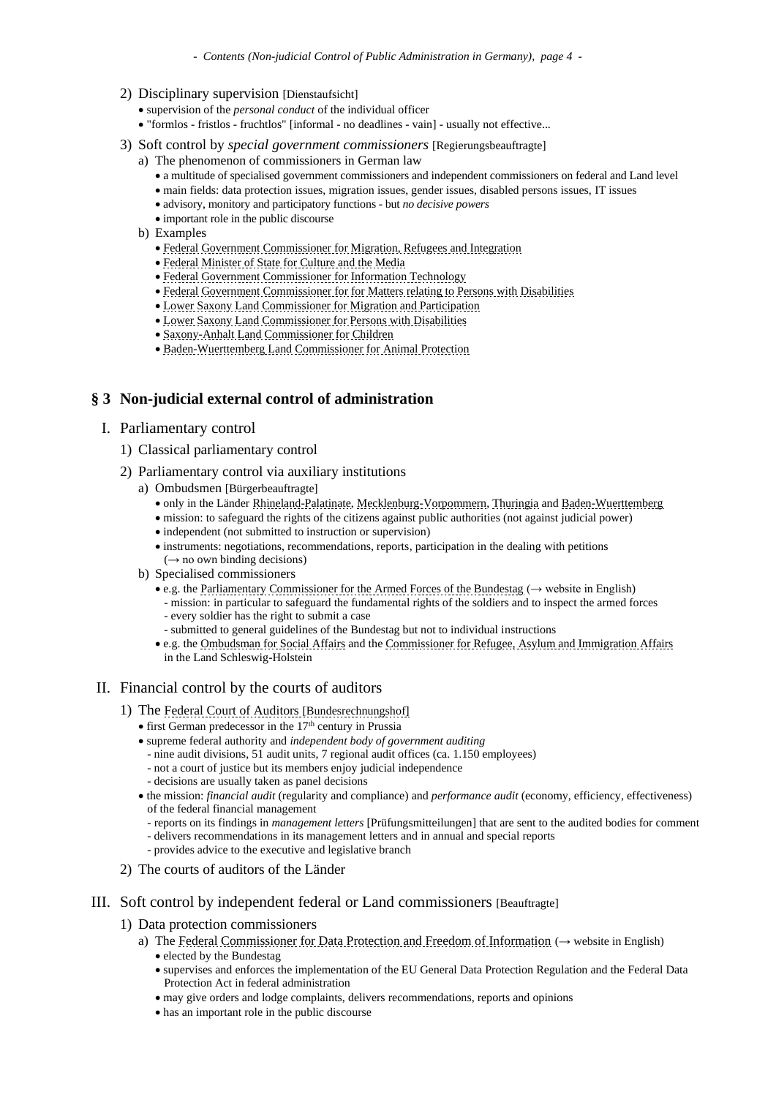- 2) Disciplinary supervision [Dienstaufsicht]
	- supervision of the *personal conduct* of the individual officer
	- "formlos fristlos fruchtlos" [informal no deadlines vain] usually not effective...
- 3) Soft control by *special government commissioners* [Regierungsbeauftragte]
	- a) The phenomenon of commissioners in German law
		- a multitude of specialised government commissioners and independent commissioners on federal and Land level
		- main fields: data protection issues, migration issues, gender issues, disabled persons issues, IT issues
		- advisory, monitory and participatory functions but *no decisive powers*
		- important role in the public discourse
	- b) Examples
		- [Federal Government Commissioner for Migration, Refugees and Integration](https://www.integrationsbeauftragte.de/ib-de)
		- Federal Minister of State [for Culture and the Media](http://www.bundesregierung.de/Webs/Breg/DE/Bundesregierung/BeauftragterfuerKulturundMedien/beauftragter-fuer-kultur-und-medien.html)
		- [Federal Government Commissioner for Information Technology](https://www.cio.bund.de/Web/DE/Startseite/startseite_node.html)
		- [Federal Government Commissioner for for Matters relating to Persons with Disabilities](https://www.behindertenbeauftragter.de/EN/Englisch.html;jsessionid=2CB7FC691322E5CD27F535122DBEEB2C.1_cid355?nn=2950120)
		- [Lower Saxony Land Commissioner for Migration and Participation](http://www.migrationsbeauftragte-niedersachsen.de/)
		- [Lower Saxony Land Commissioner for Persons](https://www.behindertenbeauftragte-niedersachsen.de/DE/Home/home_node.html) with Disabilities
		- [Saxony-Anhalt Land Commissioner for Children](https://kinderbeauftragter.sachsen-anhalt.de/)
		- [Baden-Wuerttemberg Land Commissioner for Animal Protection](https://mlr.baden-wuerttemberg.de/de/unser-haus/die-landesbeauftragte-fuer-tierschutz/)

# **§ 3 Non-judicial external control of administration**

#### I. Parliamentary control

- 1) Classical parliamentary control
- 2) Parliamentary control via auxiliary institutions
	- a) Ombudsmen [Bürgerbeauftragte]
		- only in the Länder [Rhineland-Palatinate,](https://diebuergerbeauftragte.rlp.de/icc/assisto/nav/9ed/9ed60c14-a450-fa21-ccea-97c6fcb2c451&class=net.icteam.cms.utils.search.AttributeManager&class_uBasAttrDef=a001aaaa-aaaa-aaaa-eeee-000000000054.htm) [Mecklenburg-Vorpommern,](https://www.buergerbeauftragter-mv.de/) [Thuringia](https://www.buergerbeauftragter-thueringen.de/) and [Baden-Wuerttemberg](https://www.buergerbeauftragter-bw.de/)
		- mission: to safeguard the rights of the citizens against public authorities (not against judicial power)
		- independent (not submitted to instruction or supervision)
		- instruments: negotiations, recommendations, reports, participation in the dealing with petitions  $(\rightarrow$  no own binding decisions)
	- b) Specialised commissioners
		- e.g. the [Parliamentary Commissioner for the Armed Forces of the Bundestag](https://www.bundestag.de/en/parliament/commissioner) (→ website in English) - mission: in particular to safeguard the fundamental rights of the soldiers and to inspect the armed forces
			- every soldier has the right to submit a case
			- submitted to general guidelines of the Bundestag but not to individual instructions
		- e.g. the [Ombudsman for Social Affairs](http://www.landtag.ltsh.de/beauftragte/bb/) and the [Commissioner for Refugee, Asylum and Immigration](https://www.landtag.ltsh.de/beauftragte/fb/) Affairs in the Land Schleswig-Holstein

# II. Financial control by the courts of auditors

- 1) The [Federal Court of Auditors](https://www.bundesrechnungshof.de/en/home?set_language=en) [Bundesrechnungsh[of\]](https://www.bundesrechnungshof.de/en/home?set_language=en)
	- $\bullet$  first German predecessor in the 17<sup>th</sup> century in Prussia
	- supreme federal authority and *independent body of government auditing*
		- nine audit divisions, 51 audit units, 7 regional audit offices (ca. 1.150 employees)
		- not a court of justice but its members enjoy judicial independence
		- decisions are usually taken as panel decisions
	- the mission: *financial audit* (regularity and compliance) and *performance audit* (economy, efficiency, effectiveness) of the federal financial management
		- reports on its findings in *management letters* [Prüfungsmitteilungen] that are sent to the audited bodies for comment
		- delivers recommendations in its management letters and in annual and special reports
		- provides advice to the executive and legislative branch
- 2) The courts of auditors of the Länder
- III. Soft control by independent federal or Land commissioners [Beauftragte]
	- 1) Data protection commissioners
		- a) The [Federal Commissioner for Data Protection and Freedom of Information](https://www.bfdi.bund.de/EN/Home/home_node.html) ( $\rightarrow$  website in English) • elected by the Bundestag
			- supervises and enforces the implementation of the EU General Data Protection Regulation and the Federal Data Protection Act in federal administration
			- may give orders and lodge complaints, delivers recommendations, reports and opinions
			- has an important role in the public discourse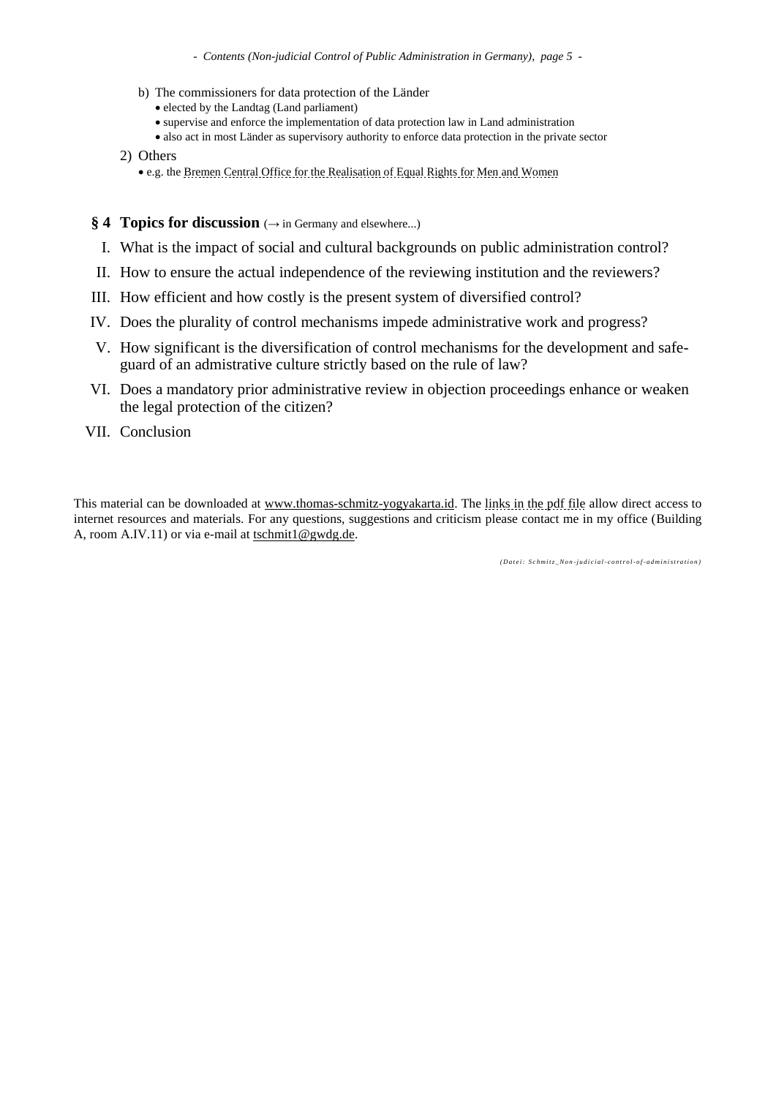*- Contents (Non-judicial Control of Public Administration in Germany), page 5 -*

- b) The commissioners for data protection of the Länder
	- elected by the Landtag (Land parliament)
	- supervise and enforce the implementation of data protection law in Land administration
	- also act in most Länder as supervisory authority to enforce data protection in the private sector
- 2) Others
	- e.g. the [Bremen Central Office for the Realisation of Equal Rights for Men and Women](http://www.frauen.bremen.de/sixcms/detail.php?gsid=bremen94.c.1672.de)
- § 4 **Topics for discussion** (→ in Germany and elsewhere...)
- I. What is the impact of social and cultural backgrounds on public administration control?
- II. How to ensure the actual independence of the reviewing institution and the reviewers?
- III. How efficient and how costly is the present system of diversified control?
- IV. Does the plurality of control mechanisms impede administrative work and progress?
- V. How significant is the diversification of control mechanisms for the development and safeguard of an admistrative culture strictly based on the rule of law?
- VI. Does a mandatory prior administrative review in objection proceedings enhance or weaken the legal protection of the citizen?
- VII. Conclusion

This material can be downloaded at [www.thomas-schmitz-yogyakarta.id.](http://www.thomas-schmitz-yogyakarta.id/) The [links in the pdf file](http://www.thomas-schmitz-yogyakarta.id/Downloads/Schmitz_Oversight-State-Admin_Germany.pdf) allow direct access to internet resources and materials. For any questions, suggestions and criticism please contact me in my office (Building A, room A.IV.11) or via e-mail at [tschmit1@gwdg.de.](mailto:tschmit1@gwdg.de)

*( D a t e i : S c h m i t z \_ N o n -j u d i c i a l- c o n t r o l- o f- a d m i n i s t r a t i o n )*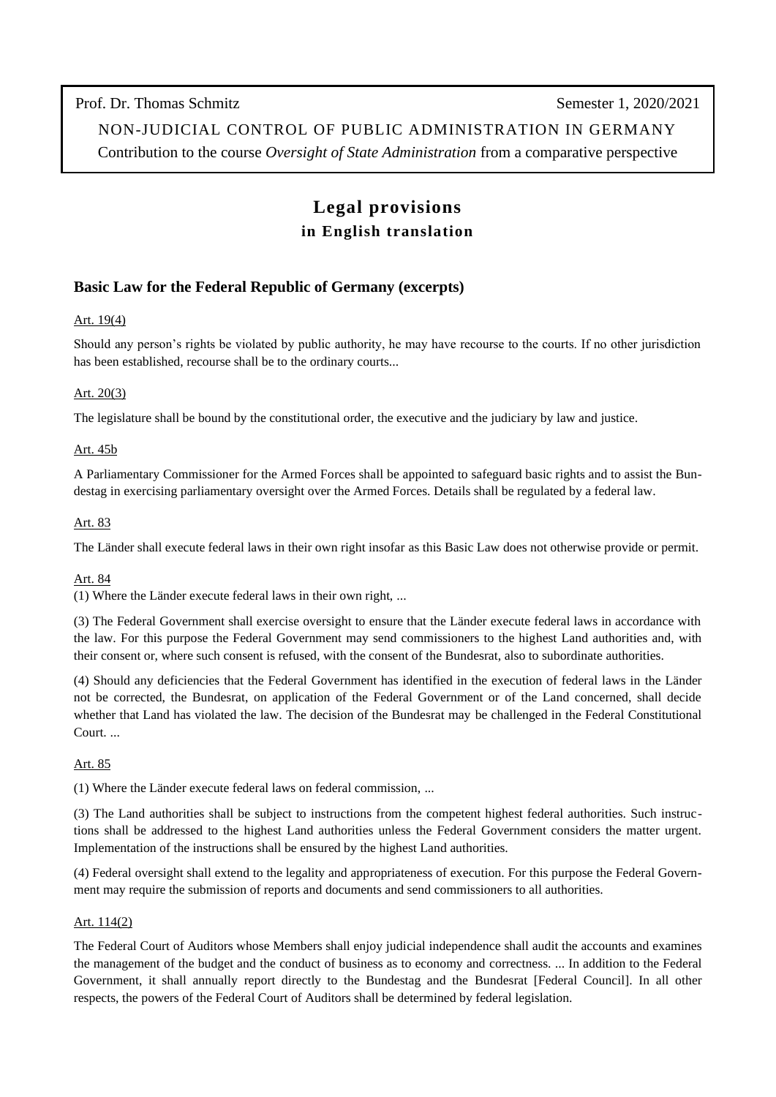Prof. Dr. Thomas Schmitz Semester 1, 2020/2021

NON-JUDICIAL CONTROL OF PUBLIC ADMINISTRATION IN GERMANY

Contribution to the course *Oversight of State Administration* from a comparative perspective

# **Legal provisions in English translation**

# **Basic Law for the Federal Republic of Germany (excerpts)**

# Art. 19(4)

Should any person's rights be violated by public authority, he may have recourse to the courts. If no other jurisdiction has been established, recourse shall be to the ordinary courts...

# Art. 20(3)

The legislature shall be bound by the constitutional order, the executive and the judiciary by law and justice.

#### Art. 45b

A Parliamentary Commissioner for the Armed Forces shall be appointed to safeguard basic rights and to assist the Bundestag in exercising parliamentary oversight over the Armed Forces. Details shall be regulated by a federal law.

#### Art. 83

The Länder shall execute federal laws in their own right insofar as this Basic Law does not otherwise provide or permit.

# Art. 84

(1) Where the Länder execute federal laws in their own right, ...

(3) The Federal Government shall exercise oversight to ensure that the Länder execute federal laws in accordance with the law. For this purpose the Federal Government may send commissioners to the highest Land authorities and, with their consent or, where such consent is refused, with the consent of the Bundesrat, also to subordinate authorities.

(4) Should any deficiencies that the Federal Government has identified in the execution of federal laws in the Länder not be corrected, the Bundesrat, on application of the Federal Government or of the Land concerned, shall decide whether that Land has violated the law. The decision of the Bundesrat may be challenged in the Federal Constitutional Court. ...

# Art. 85

(1) Where the Länder execute federal laws on federal commission, ...

(3) The Land authorities shall be subject to instructions from the competent highest federal authorities. Such instructions shall be addressed to the highest Land authorities unless the Federal Government considers the matter urgent. Implementation of the instructions shall be ensured by the highest Land authorities.

(4) Federal oversight shall extend to the legality and appropriateness of execution. For this purpose the Federal Government may require the submission of reports and documents and send commissioners to all authorities.

# Art. 114(2)

The Federal Court of Auditors whose Members shall enjoy judicial independence shall audit the accounts and examines the management of the budget and the conduct of business as to economy and correctness. ... In addition to the Federal Government, it shall annually report directly to the Bundestag and the Bundesrat [Federal Council]. In all other respects, the powers of the Federal Court of Auditors shall be determined by federal legislation.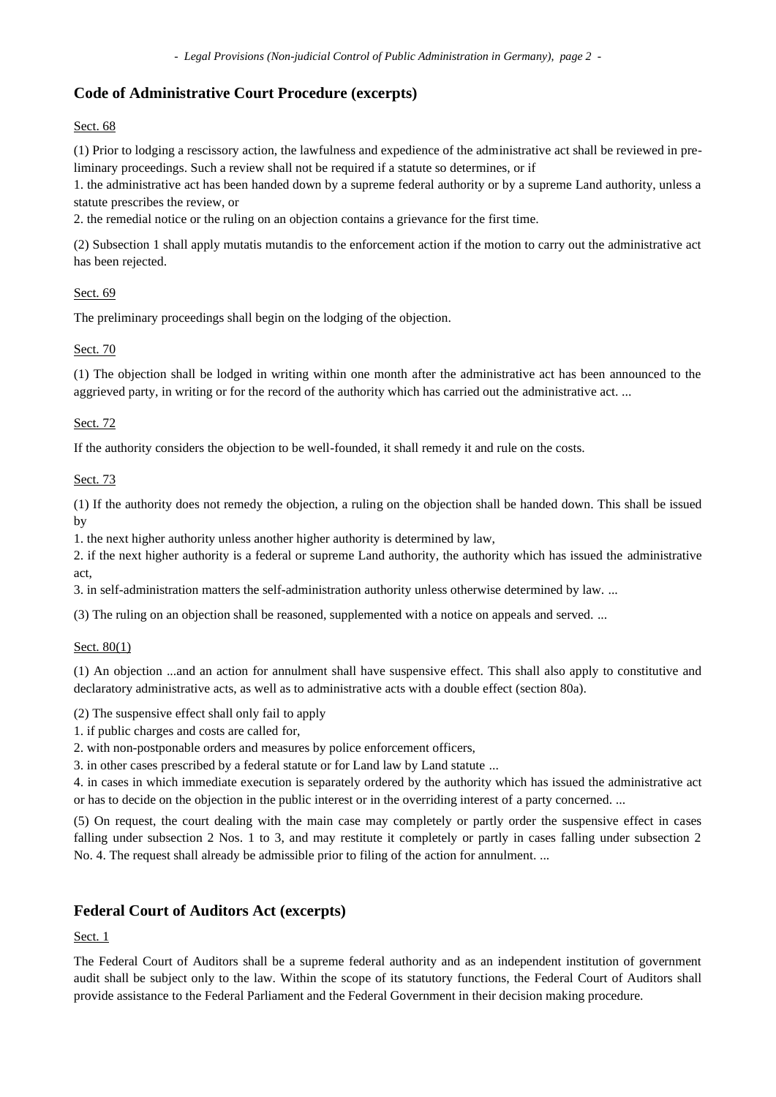*- Legal Provisions (Non-judicial Control of Public Administration in Germany), page 2 -*

# **Code of Administrative Court Procedure (excerpts)**

# Sect. 68

(1) Prior to lodging a rescissory action, the lawfulness and expedience of the administrative act shall be reviewed in preliminary proceedings. Such a review shall not be required if a statute so determines, or if

1. the administrative act has been handed down by a supreme federal authority or by a supreme Land authority, unless a statute prescribes the review, or

2. the remedial notice or the ruling on an objection contains a grievance for the first time.

(2) Subsection 1 shall apply mutatis mutandis to the enforcement action if the motion to carry out the administrative act has been rejected.

# Sect. 69

The preliminary proceedings shall begin on the lodging of the objection.

# Sect. 70

(1) The objection shall be lodged in writing within one month after the administrative act has been announced to the aggrieved party, in writing or for the record of the authority which has carried out the administrative act. ...

# Sect. 72

If the authority considers the objection to be well-founded, it shall remedy it and rule on the costs.

# Sect. 73

(1) If the authority does not remedy the objection, a ruling on the objection shall be handed down. This shall be issued by

1. the next higher authority unless another higher authority is determined by law,

2. if the next higher authority is a federal or supreme Land authority, the authority which has issued the administrative act,

3. in self-administration matters the self-administration authority unless otherwise determined by law. ...

(3) The ruling on an objection shall be reasoned, supplemented with a notice on appeals and served. ...

# Sect. 80(1)

(1) An objection ...and an action for annulment shall have suspensive effect. This shall also apply to constitutive and declaratory administrative acts, as well as to administrative acts with a double effect (section 80a).

(2) The suspensive effect shall only fail to apply

1. if public charges and costs are called for,

2. with non-postponable orders and measures by police enforcement officers,

3. in other cases prescribed by a federal statute or for Land law by Land statute ...

4. in cases in which immediate execution is separately ordered by the authority which has issued the administrative act or has to decide on the objection in the public interest or in the overriding interest of a party concerned. ...

(5) On request, the court dealing with the main case may completely or partly order the suspensive effect in cases falling under subsection 2 Nos. 1 to 3, and may restitute it completely or partly in cases falling under subsection 2 No. 4. The request shall already be admissible prior to filing of the action for annulment. ...

# **Federal Court of Auditors Act (excerpts)**

Sect. 1

The Federal Court of Auditors shall be a supreme federal authority and as an independent institution of government audit shall be subject only to the law. Within the scope of its statutory functions, the Federal Court of Auditors shall provide assistance to the Federal Parliament and the Federal Government in their decision making procedure.